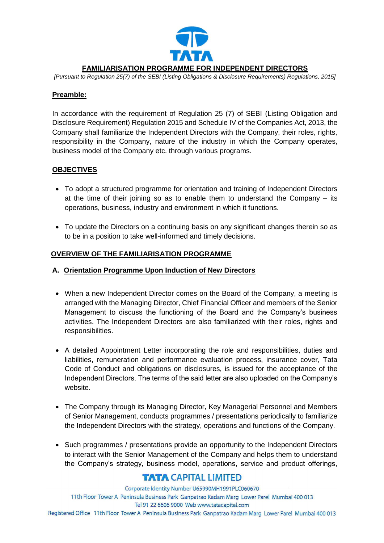

## **FAMILIARISATION PROGRAMME FOR INDEPENDENT DIRECTORS**

*[Pursuant to Regulation 25(7) of the SEBI (Listing Obligations & Disclosure Requirements) Regulations, 2015]*

#### **Preamble:**

In accordance with the requirement of Regulation 25 (7) of SEBI (Listing Obligation and Disclosure Requirement) Regulation 2015 and Schedule IV of the Companies Act, 2013, the Company shall familiarize the Independent Directors with the Company, their roles, rights, responsibility in the Company, nature of the industry in which the Company operates, business model of the Company etc. through various programs.

### **OBJECTIVES**

- To adopt a structured programme for orientation and training of Independent Directors at the time of their joining so as to enable them to understand the Company – its operations, business, industry and environment in which it functions.
- To update the Directors on a continuing basis on any significant changes therein so as to be in a position to take well-informed and timely decisions.

### **OVERVIEW OF THE FAMILIARISATION PROGRAMME**

### **A. Orientation Programme Upon Induction of New Directors**

- When a new Independent Director comes on the Board of the Company, a meeting is arranged with the Managing Director, Chief Financial Officer and members of the Senior Management to discuss the functioning of the Board and the Company's business activities. The Independent Directors are also familiarized with their roles, rights and responsibilities.
- A detailed Appointment Letter incorporating the role and responsibilities, duties and liabilities, remuneration and performance evaluation process, insurance cover, Tata Code of Conduct and obligations on disclosures, is issued for the acceptance of the Independent Directors. The terms of the said letter are also uploaded on the Company's website.
- The Company through its Managing Director, Key Managerial Personnel and Members of Senior Management, conducts programmes / presentations periodically to familiarize the Independent Directors with the strategy, operations and functions of the Company.
- Such programmes / presentations provide an opportunity to the Independent Directors to interact with the Senior Management of the Company and helps them to understand the Company's strategy, business model, operations, service and product offerings,

# **TATA CAPITAL LIMITED**

Corporate Identity Number U65990MH1991PLC060670 11th Floor Tower A Peninsula Business Park Ganpatrao Kadam Marg Lower Parel Mumbai 400 013 Tel 91 22 6606 9000 Web www.tatacapital.com Registered Office 11th Floor Tower A Peninsula Business Park Ganpatrao Kadam Marg Lower Parel Mumbai 400 013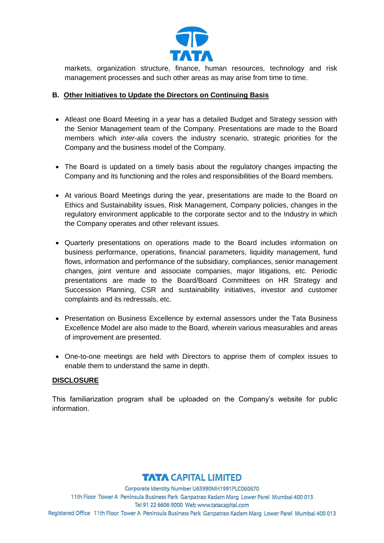

markets, organization structure, finance, human resources, technology and risk management processes and such other areas as may arise from time to time.

## **B. Other Initiatives to Update the Directors on Continuing Basis**

- Atleast one Board Meeting in a year has a detailed Budget and Strategy session with the Senior Management team of the Company. Presentations are made to the Board members which *inter-alia* covers the industry scenario, strategic priorities for the Company and the business model of the Company.
- The Board is updated on a timely basis about the regulatory changes impacting the Company and its functioning and the roles and responsibilities of the Board members.
- At various Board Meetings during the year, presentations are made to the Board on Ethics and Sustainability issues, Risk Management, Company policies, changes in the regulatory environment applicable to the corporate sector and to the Industry in which the Company operates and other relevant issues.
- Quarterly presentations on operations made to the Board includes information on business performance, operations, financial parameters, liquidity management, fund flows, information and performance of the subsidiary, compliances, senior management changes, joint venture and associate companies, major litigations, etc. Periodic presentations are made to the Board/Board Committees on HR Strategy and Succession Planning, CSR and sustainability initiatives, investor and customer complaints and its redressals, etc.
- Presentation on Business Excellence by external assessors under the Tata Business Excellence Model are also made to the Board, wherein various measurables and areas of improvement are presented.
- One-to-one meetings are held with Directors to apprise them of complex issues to enable them to understand the same in depth.

### **DISCLOSURE**

This familiarization program shall be uploaded on the Company's website for public information.

# **TATA CAPITAL LIMITED**

Corporate Identity Number U65990MH1991PLC060670 11th Floor Tower A Peninsula Business Park Ganpatrao Kadam Marg Lower Parel Mumbai 400 013 Tel 91 22 6606 9000 Web www.tatacapital.com Registered Office 11th Floor Tower A Peninsula Business Park Ganpatrao Kadam Marg Lower Parel Mumbai 400 013